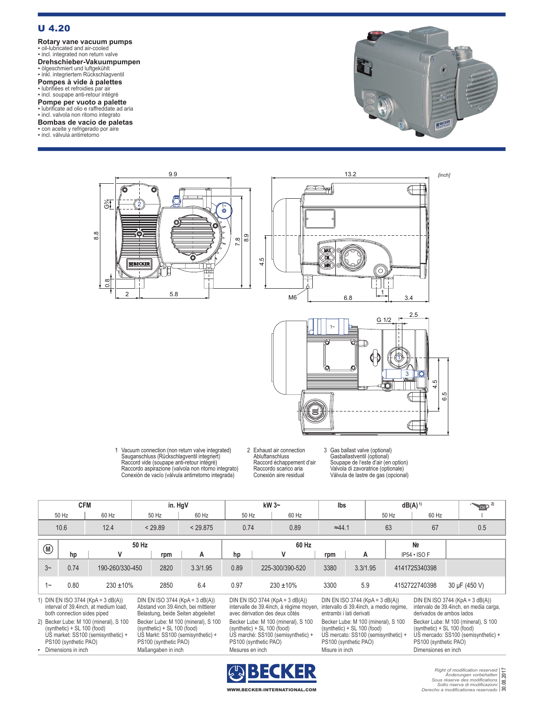## U 4.20

**Rotary vane vacuum pumps** ▪ oil-lubricated and air-cooled ▪ incl. integrated non return valve

**Drehschieber-Vakuumpumpen<br>▪ ölgeschmiert und luftgekühlt<br>▪ inkl. integriertem Rückschlagventil** 

**Pompes à vide à palettes<br>▪ lubrifiées et refroidies par air<br>▪ incl. soupape anti-retour intégré** 

**Pompe per vuoto a palette**<br>• lubrificate ad olio e raffreddate ad aria<br>• incl. valvola non ritorno integrato

**Bombas de vacío de paletas**

▪ con aceite y refrigerado por aire ▪ incl. válvula antirretorno





1 Vacuum connection (non return valve integrated) Sauganschluss (Rückschlagventil integriert) Raccord vide (soupape anti-retour intégré) Raccordo aspirazione (valvola non ritorno integrato) Conexión de vacío (válvula antirretorno integrada)

2 Exhaust air connection Abluftanschluss Raccord échappement d'air Raccordo scarico aria Conexión aire residual

3 Gas ballast valve (optional) Gasballastventil (optional) Soupape de l'este d'air (en option) Valvola di zavoratrice (optionale) Válvula de lastre de gas (opcional)

 $\subset$ 

| <b>CFM</b>                                                                                                                                                                                                                        |                                   |                    |                 | in. HgV                                                                                                                          |          | kW $3-$                                                                                                                             |                                                                                                          |                                                                                                                                    | lbs            |                                                                                                          | $dB(A)^{1}$    |                                                                                                                                    |                     |  |               |
|-----------------------------------------------------------------------------------------------------------------------------------------------------------------------------------------------------------------------------------|-----------------------------------|--------------------|-----------------|----------------------------------------------------------------------------------------------------------------------------------|----------|-------------------------------------------------------------------------------------------------------------------------------------|----------------------------------------------------------------------------------------------------------|------------------------------------------------------------------------------------------------------------------------------------|----------------|----------------------------------------------------------------------------------------------------------|----------------|------------------------------------------------------------------------------------------------------------------------------------|---------------------|--|---------------|
| 50 Hz                                                                                                                                                                                                                             |                                   |                    | 60 Hz           | 50 Hz                                                                                                                            | 60 Hz    | 50 Hz                                                                                                                               |                                                                                                          | 60 Hz                                                                                                                              |                |                                                                                                          | 50 Hz          |                                                                                                                                    | 60 Hz               |  |               |
|                                                                                                                                                                                                                                   |                                   | 10.6               | 12.4<br>< 29.89 |                                                                                                                                  | < 29.875 | 0.74                                                                                                                                |                                                                                                          | 0.89                                                                                                                               | $\approx$ 44.1 |                                                                                                          | 63             |                                                                                                                                    | 67                  |  | 0.5           |
|                                                                                                                                                                                                                                   | 50 Hz<br>$(\widehat{\mathsf{M}})$ |                    |                 |                                                                                                                                  | 60 Hz    |                                                                                                                                     |                                                                                                          |                                                                                                                                    |                |                                                                                                          | N <sub>2</sub> |                                                                                                                                    |                     |  |               |
|                                                                                                                                                                                                                                   |                                   | hp                 | v               | rpm                                                                                                                              | A        | hp                                                                                                                                  |                                                                                                          | v                                                                                                                                  | rpm            | A                                                                                                        |                | $IP54 \cdot ISO F$                                                                                                                 |                     |  |               |
| $3-$                                                                                                                                                                                                                              |                                   | 0.74               | 190-260/330-450 | 2820                                                                                                                             | 3.3/1.95 | 0.89                                                                                                                                |                                                                                                          | 225-300/390-520                                                                                                                    | 3380           | 3.3/1.95                                                                                                 |                | 4141725340398                                                                                                                      |                     |  |               |
|                                                                                                                                                                                                                                   | $1 -$                             | 0.80               | $230 \pm 10\%$  | 2850                                                                                                                             | 6.4      | 0.97                                                                                                                                |                                                                                                          | $230 \pm 10\%$                                                                                                                     | 3300           | 5.9                                                                                                      |                |                                                                                                                                    | 4152722740398       |  | 30 µF (450 V) |
| 1) DIN EN ISO 3744 (KpA = $3 dB(A)$ )<br>DIN EN ISO 3744 (KpA = $3$ dB(A))<br>interval of 39.4 inch, at medium load,<br>Abstand von 39.4 inch. bei mittlerer<br>both connection sides piped<br>Belastung, beide Seiten abgeleitet |                                   |                    |                 | DIN EN ISO 3744 (KpA = $3$ dB(A))<br>intervalle de 39.4inch, à régime moyen,<br>avec dérivation des deux côtés                   |          |                                                                                                                                     | DIN EN ISO 3744 (KpA = $3$ dB(A))<br>intervallo di 39.4inch, a medio regime,<br>entrambi i lati derivati |                                                                                                                                    |                | DIN EN ISO 3744 (KpA = $3$ dB(A))<br>intervalo de 39.4 inch, en media carga,<br>derivados de ambos lados |                |                                                                                                                                    |                     |  |               |
| 2) Becker Lube: M 100 (mineral), S 100<br>$(synthetic) + SL 100 (food)$<br>US market: SS100 (semisynthetic) +<br>PS100 (synthetic PAO)                                                                                            |                                   |                    |                 | Becker Lube: M 100 (mineral), S 100<br>(synthetic) + SL 100 (food)<br>US Markt: SS100 (semisynthetic) +<br>PS100 (synthetic PAO) |          | Becker Lube: M 100 (mineral), S 100<br>$(synthetic) + SL 100 (food)$<br>US marché: SS100 (semisynthetic) +<br>PS100 (synthetic PAO) |                                                                                                          | Becker Lube: M 100 (mineral), S 100<br>(synthetic) + SL 100 (food)<br>US mercato: SS100 (semisynthetic) +<br>PS100 (synthetic PAO) |                |                                                                                                          |                | Becker Lube: M 100 (mineral), S 100<br>(synthetic) + SL 100 (food)<br>US mercado: SS100 (semisynthetic) +<br>PS100 (synthetic PAO) |                     |  |               |
| ٠.                                                                                                                                                                                                                                |                                   | Dimensions in inch |                 | Maßangaben in inch                                                                                                               |          | Mesures en inch                                                                                                                     |                                                                                                          |                                                                                                                                    | Misure in inch |                                                                                                          |                |                                                                                                                                    | Dimensiones en inch |  |               |



*Right of modification reserved Änderungen vorbehalten Sous réserve des modifications Sotto riserva di modificazioni Derecho a modificationes reservado* **30.08.2017**